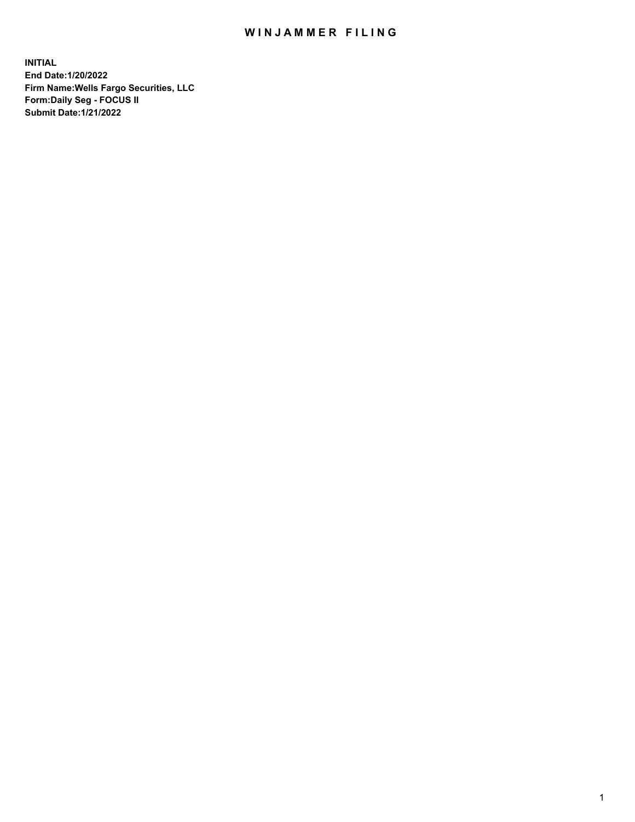## WIN JAMMER FILING

**INITIAL End Date:1/20/2022 Firm Name:Wells Fargo Securities, LLC Form:Daily Seg - FOCUS II Submit Date:1/21/2022**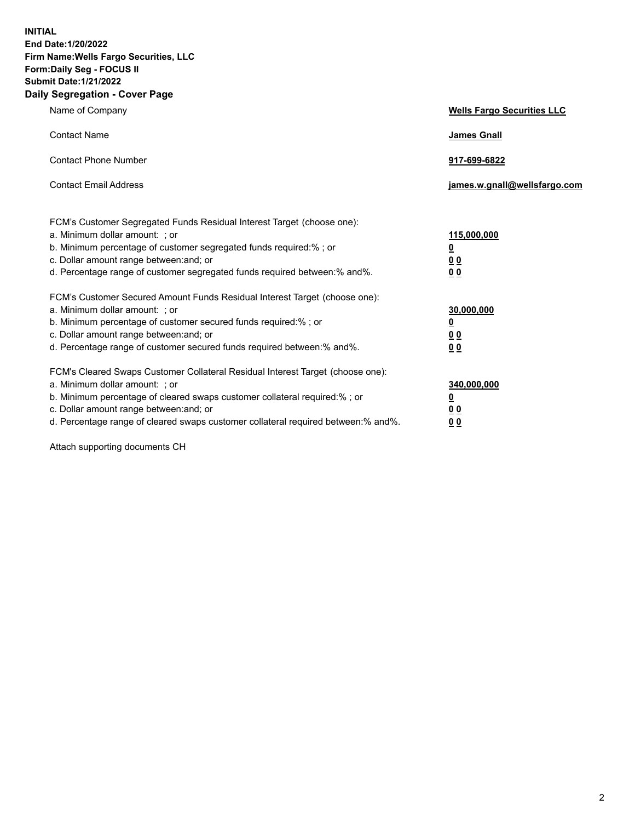**INITIAL End Date:1/20/2022 Firm Name:Wells Fargo Securities, LLC Form:Daily Seg - FOCUS II Submit Date:1/21/2022 Daily Segregation - Cover Page**

| Name of Company                                                                                                                                                                                                                                                                                                                | <b>Wells Fargo Securities LLC</b>                          |
|--------------------------------------------------------------------------------------------------------------------------------------------------------------------------------------------------------------------------------------------------------------------------------------------------------------------------------|------------------------------------------------------------|
| <b>Contact Name</b>                                                                                                                                                                                                                                                                                                            | <b>James Gnall</b>                                         |
| <b>Contact Phone Number</b>                                                                                                                                                                                                                                                                                                    | 917-699-6822                                               |
| <b>Contact Email Address</b>                                                                                                                                                                                                                                                                                                   | james.w.gnall@wellsfargo.com                               |
| FCM's Customer Segregated Funds Residual Interest Target (choose one):<br>a. Minimum dollar amount: ; or<br>b. Minimum percentage of customer segregated funds required:% ; or<br>c. Dollar amount range between: and; or<br>d. Percentage range of customer segregated funds required between:% and%.                         | 115,000,000<br><u>0</u><br>0 <sub>0</sub><br>00            |
| FCM's Customer Secured Amount Funds Residual Interest Target (choose one):<br>a. Minimum dollar amount: ; or<br>b. Minimum percentage of customer secured funds required:%; or<br>c. Dollar amount range between: and; or<br>d. Percentage range of customer secured funds required between:% and%.                            | 30,000,000<br><u>0</u><br>0 <sub>0</sub><br>0 <sub>0</sub> |
| FCM's Cleared Swaps Customer Collateral Residual Interest Target (choose one):<br>a. Minimum dollar amount: ; or<br>b. Minimum percentage of cleared swaps customer collateral required:% ; or<br>c. Dollar amount range between: and; or<br>d. Percentage range of cleared swaps customer collateral required between:% and%. | 340,000,000<br><u>0</u><br>00<br>00                        |

Attach supporting documents CH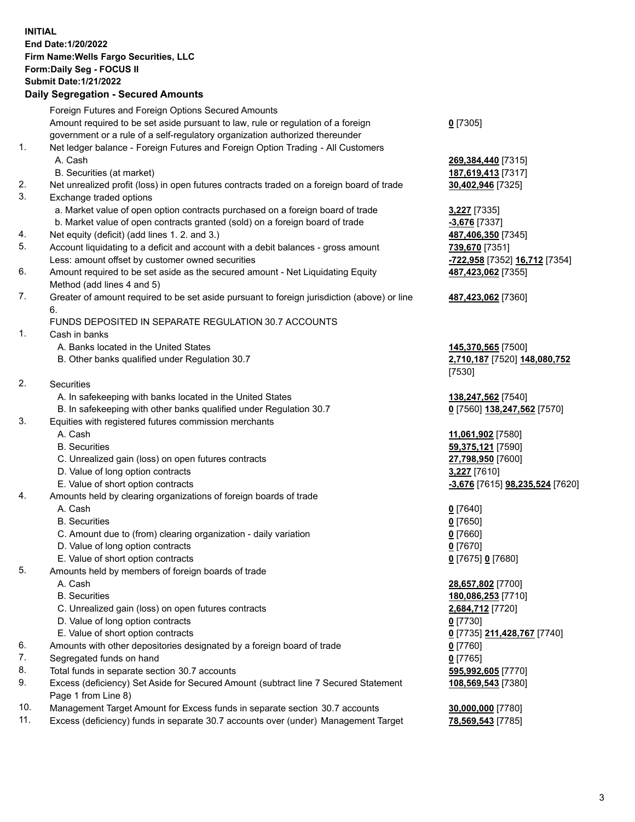**INITIAL End Date:1/20/2022 Firm Name:Wells Fargo Securities, LLC Form:Daily Seg - FOCUS II Submit Date:1/21/2022**

## **Daily Segregation - Secured Amounts**

|    | Foreign Futures and Foreign Options Secured Amounts                                         |                                                   |
|----|---------------------------------------------------------------------------------------------|---------------------------------------------------|
|    | Amount required to be set aside pursuant to law, rule or regulation of a foreign            | $0$ [7305]                                        |
|    | government or a rule of a self-regulatory organization authorized thereunder                |                                                   |
| 1. | Net ledger balance - Foreign Futures and Foreign Option Trading - All Customers             |                                                   |
|    | A. Cash                                                                                     | 269,384,440 [7315]                                |
|    | B. Securities (at market)                                                                   | 187,619,413 [7317]                                |
| 2. | Net unrealized profit (loss) in open futures contracts traded on a foreign board of trade   | 30,402,946 [7325]                                 |
| 3. | Exchange traded options                                                                     |                                                   |
|    | a. Market value of open option contracts purchased on a foreign board of trade              | 3,227 [7335]                                      |
|    | b. Market value of open contracts granted (sold) on a foreign board of trade                | $-3,676$ [7337]                                   |
| 4. | Net equity (deficit) (add lines 1. 2. and 3.)                                               | 487,406,350 [7345]                                |
| 5. | Account liquidating to a deficit and account with a debit balances - gross amount           | 739,670 [7351]                                    |
|    | Less: amount offset by customer owned securities                                            | <mark>-722,958</mark> [7352] <u>16,712</u> [7354] |
| 6. | Amount required to be set aside as the secured amount - Net Liquidating Equity              | 487,423,062 [7355]                                |
|    | Method (add lines 4 and 5)                                                                  |                                                   |
| 7. | Greater of amount required to be set aside pursuant to foreign jurisdiction (above) or line | 487,423,062 [7360]                                |
|    | 6.                                                                                          |                                                   |
|    | FUNDS DEPOSITED IN SEPARATE REGULATION 30.7 ACCOUNTS                                        |                                                   |
| 1. | Cash in banks                                                                               |                                                   |
|    | A. Banks located in the United States                                                       | 145,370,565 [7500]                                |
|    | B. Other banks qualified under Regulation 30.7                                              | 2,710,187 [7520] 148,080,752                      |
|    |                                                                                             | [7530]                                            |
| 2. | Securities                                                                                  |                                                   |
|    | A. In safekeeping with banks located in the United States                                   | 138,247,562 [7540]                                |
|    | B. In safekeeping with other banks qualified under Regulation 30.7                          | 0 [7560] 138,247,562 [7570]                       |
| 3. | Equities with registered futures commission merchants                                       |                                                   |
|    | A. Cash                                                                                     | 11,061,902 [7580]                                 |
|    | <b>B.</b> Securities                                                                        | 59,375,121 [7590]                                 |
|    | C. Unrealized gain (loss) on open futures contracts                                         | 27,798,950 [7600]                                 |
|    | D. Value of long option contracts                                                           | 3,227 [7610]                                      |
|    | E. Value of short option contracts                                                          | -3,676 [7615] 98,235,524 [7620]                   |
| 4. | Amounts held by clearing organizations of foreign boards of trade                           |                                                   |
|    | A. Cash                                                                                     | $0$ [7640]                                        |
|    | <b>B.</b> Securities                                                                        | $0$ [7650]                                        |
|    | C. Amount due to (from) clearing organization - daily variation                             | $0$ [7660]                                        |
|    | D. Value of long option contracts                                                           | $0$ [7670]                                        |
|    | E. Value of short option contracts                                                          | 0 [7675] 0 [7680]                                 |
| 5. | Amounts held by members of foreign boards of trade                                          |                                                   |
|    | A. Cash                                                                                     | 28,657,802 [7700]                                 |
|    | <b>B.</b> Securities                                                                        | 180,086,253 [7710]                                |
|    | C. Unrealized gain (loss) on open futures contracts                                         | 2,684,712 [7720]                                  |
|    | D. Value of long option contracts                                                           | $0$ [7730]                                        |
|    | E. Value of short option contracts                                                          | 0 [7735] 211,428,767 [7740]                       |
| 6. | Amounts with other depositories designated by a foreign board of trade                      | 0 [7760]                                          |
| 7. | Segregated funds on hand                                                                    | $0$ [7765]                                        |
| 8. | Total funds in separate section 30.7 accounts                                               | 595,992,605 [7770]                                |
| 9. | Excess (deficiency) Set Aside for Secured Amount (subtract line 7 Secured Statement         | 108,569,543 [7380]                                |
|    | Page 1 from Line 8)                                                                         |                                                   |
|    |                                                                                             |                                                   |

- 10. Management Target Amount for Excess funds in separate section 30.7 accounts **30,000,000** [7780]
- 11. Excess (deficiency) funds in separate 30.7 accounts over (under) Management Target **78,569,543** [7785]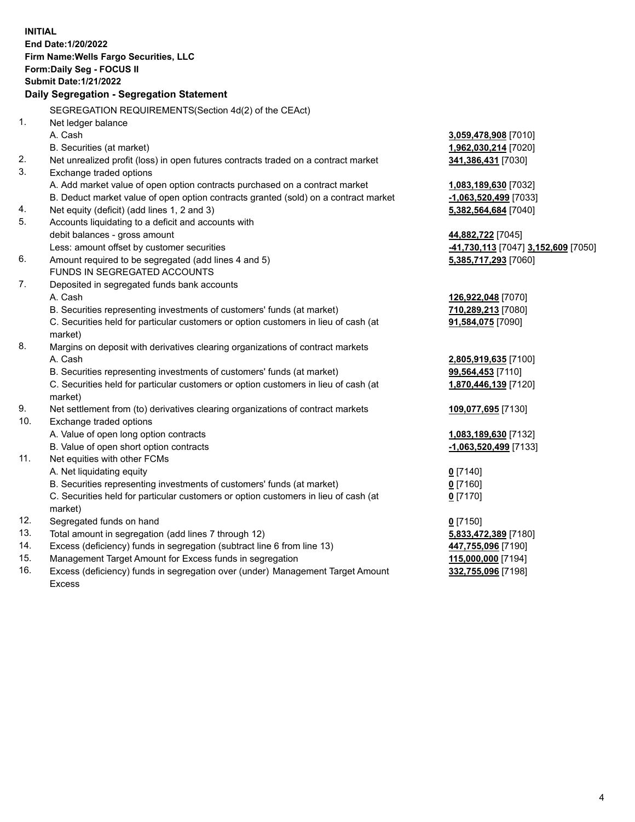**INITIAL End Date:1/20/2022 Firm Name:Wells Fargo Securities, LLC Form:Daily Seg - FOCUS II Submit Date:1/21/2022 Daily Segregation - Segregation Statement** SEGREGATION REQUIREMENTS(Section 4d(2) of the CEAct) 1. Net ledger balance A. Cash **3,059,478,908** [7010] B. Securities (at market) **1,962,030,214** [7020] 2. Net unrealized profit (loss) in open futures contracts traded on a contract market **341,386,431** [7030] 3. Exchange traded options A. Add market value of open option contracts purchased on a contract market **1,083,189,630** [7032] B. Deduct market value of open option contracts granted (sold) on a contract market **-1,063,520,499** [7033] 4. Net equity (deficit) (add lines 1, 2 and 3) **5,382,564,684** [7040] 5. Accounts liquidating to a deficit and accounts with debit balances - gross amount **44,882,722** [7045] Less: amount offset by customer securities **-41,730,113** [7047] **3,152,609** [7050] 6. Amount required to be segregated (add lines 4 and 5) **5,385,717,293** [7060] FUNDS IN SEGREGATED ACCOUNTS 7. Deposited in segregated funds bank accounts A. Cash **126,922,048** [7070] B. Securities representing investments of customers' funds (at market) **710,289,213** [7080] C. Securities held for particular customers or option customers in lieu of cash (at market) **91,584,075** [7090] 8. Margins on deposit with derivatives clearing organizations of contract markets A. Cash **2,805,919,635** [7100] B. Securities representing investments of customers' funds (at market) **99,564,453** [7110] C. Securities held for particular customers or option customers in lieu of cash (at market) **1,870,446,139** [7120] 9. Net settlement from (to) derivatives clearing organizations of contract markets **109,077,695** [7130] 10. Exchange traded options A. Value of open long option contracts **1,083,189,630** [7132] B. Value of open short option contracts **-1,063,520,499** [7133] 11. Net equities with other FCMs A. Net liquidating equity **0** [7140] B. Securities representing investments of customers' funds (at market) **0** [7160] C. Securities held for particular customers or option customers in lieu of cash (at market) **0** [7170] 12. Segregated funds on hand **0** [7150] 13. Total amount in segregation (add lines 7 through 12) **5,833,472,389** [7180] 14. Excess (deficiency) funds in segregation (subtract line 6 from line 13) **447,755,096** [7190] 15. Management Target Amount for Excess funds in segregation **115,000,000** [7194] 16. Excess (deficiency) funds in segregation over (under) Management Target Amount **332,755,096** [7198]

Excess